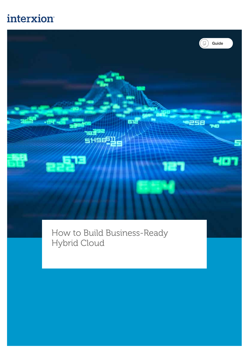### interxion



How to Build Business-Ready Hybrid Cloud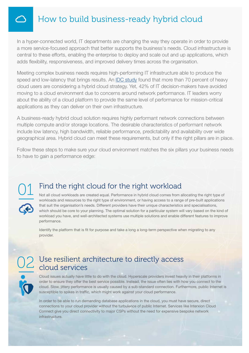#### How to build business-ready hybrid cloud

In a hyper-connected world, IT departments are changing the way they operate in order to provide a more service-focused approach that better supports the business's needs. Cloud infrastructure is central to these efforts, enabling the enterprise to deploy and scale out and up applications, which adds flexibility, responsiveness, and improved delivery times across the organisation.

Meeting complex business needs requires high-performing IT infrastructure able to produce the speed and low-latency that brings results. An [IDC study](https://www.businesswire.com/news/home/20160222005194/en/IDCs-Latest-CloudView-Multiclient-Study-Reveals-Attitudes) found that more than 70 percent of heavy cloud users are considering a hybrid cloud strategy. Yet, 42% of IT decision-makers have avoided moving to a cloud environment due to concerns around network performance. IT leaders worry about the ability of a cloud platform to provide the same level of performance for mission-critical applications as they can deliver on their own infrastructure.

A business-ready hybrid cloud solution requires highly performant network connections between multiple compute and/or storage locations. The desirable characteristics of performant network include low latency, high bandwidth, reliable performance, predictability and availability over wide geographical area. Hybrid cloud can meet these requirements, but only if the right pillars are in place.

Follow these steps to make sure your cloud environment matches the six pillars your business needs to have to gain a performance edge:



#### Find the right cloud for the right workload

Not all cloud workloads are created equal. Performance in hybrid cloud comes from allocating the right type of workloads and resources to the right type of environment, or having access to a range of pre-built applications that suit the organisation's needs. Different providers have their unique characteristics and specialisations, which should be core to your planning. The optimal solution for a particular system will vary based on the kind of workload you have, and well-architected systems use multiple solutions and enable different features to improve performance.

Identify the platform that is fit for purpose and take a long a long-term perspective when migrating to any provider.



#### Use resilient architecture to directly access 02 Use resilient and<br>cloud services

Cloud issues actually have little to do with the cloud. Hyperscale providers invest heavily in their platforms in order to ensure they offer the best service possible. Instead, the issue often lies with how you connect to the cloud. Slow, jittery performance is usually caused by a sub-standard connection. Furthermore, public Internet is susceptible to spikes in traffic, which might work against your cloud performance.

In order to be able to run demanding database applications in the cloud, you must have secure, direct connections to your cloud provider without the turbulence of public Internet. Services like Interxion Cloud Connect give you direct connectivity to major CSPs without the need for expensive bespoke network infrastructure.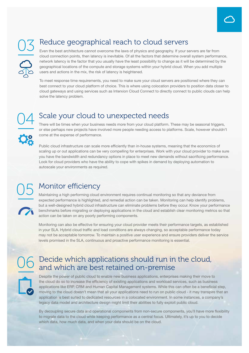#### Reduce geographical reach to cloud servers

Even the best architecture cannot overcome the laws of physics and geography. If your servers are far from cloud connection points, then latency is inevitable. Of all the factors that determine overall system performance, network latency is the factor that you usually have the least possibility to change as it will be determined by the geographical locations of the compute and storage systems within your hybrid cloud. When you add multiple users and actions in the mix, the risk of latency is heightened.

To meet response time requirements, you need to make sure your cloud servers are positioned where they can best connect to your cloud platform of choice. This is where using colocation providers to position data closer to cloud gateways and using services such as Interxion Cloud Connect to directly connect to public clouds can help solve the latency problem.

### 04

#### Scale your cloud to unexpected needs

There will be times when your business needs more from your cloud platform. These may be seasonal triggers, or else perhaps new projects have involved more people needing access to platforms. Scale, however shouldn't come at the expense of performance.

Public cloud infrastructure can scale more efficiently than in-house systems, meaning that the economics of scaling up or out applications can be very compelling for enterprises. Work with your cloud provider to make sure you have the bandwidth and redundancy options in place to meet new demands without sacrificing performance. Look for cloud providers who have the ability to cope with spikes in demand by deploying automation to autoscale your environments as required.

## 05

#### Monitor efficiency

Maintaining a high performing cloud environment requires continual monitoring so that any deviance from expected performance is highlighted, and remedial action can be taken. Monitoring can help identify problems, but a well-designed hybrid cloud infrastructure can eliminate problems before they occur. Know your performance benchmarks before migrating or deploying applications in the cloud and establish clear monitoring metrics so that action can be taken on any poorly performing components.

Monitoring can also be effective for ensuring your cloud provider meets their performance targets, as established in your SLA. Hybrid cloud traffic and load conditions are always changing, so acceptable performance today may not be acceptable tomorrow. To maintain a positive user experience and ensure providers deliver the service levels promised in the SLA, continuous and proactive performance monitoring is essential.

# 06

#### Decide which applications should run in the cloud, and which are best retained on-premise

Despite the power of public cloud to enable new business applications, enterprises making their move to the cloud do so to increase the efficiency of existing applications and workload services, such as business applications like ERP, CRM and Human Capital Management systems. While this can often be a beneficial step, moving to the cloud doesn't mean that all your applications need to run on public cloud - it may transpire that an application is best suited to dedicated resources in a colocated environment. In some instances, a company's legacy data model and architecture design might limit their abilities to fully exploit public cloud.

By decoupling secure data and operational components from non-secure components, you'll have more flexibility to migrate data to the cloud while keeping performance as a central focus. Ultimately, it's up to you to decide which data, how much data, and when your data should be on the cloud.